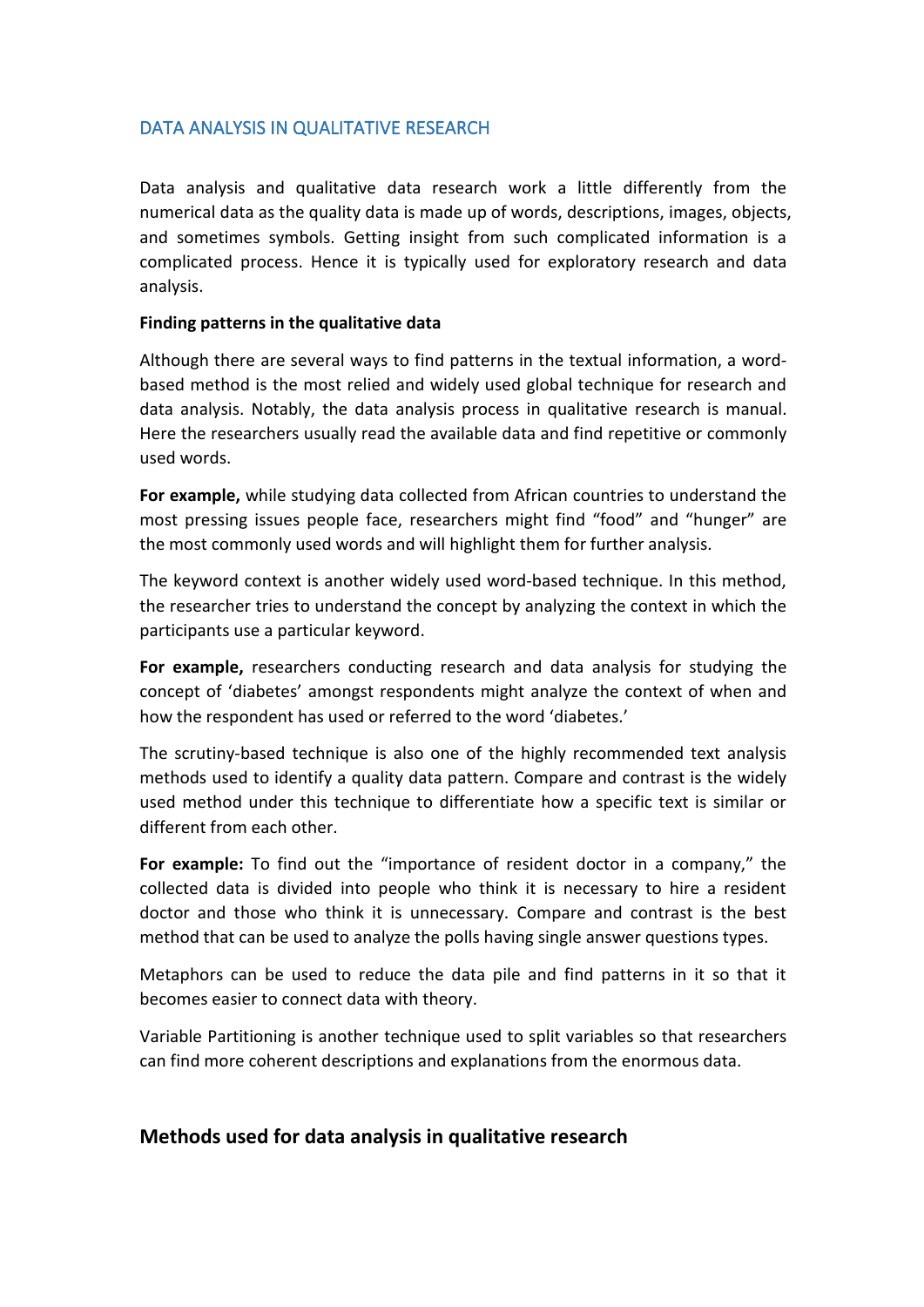## DATA ANALYSIS IN QUALITATIVE RESEARCH

Data analysis and qualitative data research work a little differently from the numerical data as the quality data is made up of words, descriptions, images, objects, and sometimes symbols. Getting insight from such complicated information is a complicated process. Hence it is typically used for exploratory research and data analysis.

## **Finding patterns in the qualitative data**

Although there are several ways to find patterns in the textual information, a word based method is the most relied and widely used global technique for research and data analysis. Notably, the data analysis process in qualitative research is manual. Here the researchers usually read the available data and find repetitive or commonly used words.

**For example,** while studying data collected from African countries to understand the most pressing issues people face, researchers might find "food" and "hunger" are the most commonly used words and will highlight them for further analysis.

The keyword context is another widely used word-based technique. In this method, the researcher tries to understand the concept by analyzing the context in which the participants use a particular keyword.

**For example,** researchers conducting research and data analysis for studying the concept of 'diabetes' amongst respondents might analyze the context of when and how the respondent has used or referred to the word 'diabetes.'

The scrutiny-based technique is also one of the highly recommended text analysis methods used to identify a quality data pattern. Compare and contrast is the widely used method under this technique to differentiate how a specific text is similar or different from each other.

**For example:** To find out the "importance of resident doctor in a company," the collected data is divided into people who think it is necessary to hire a resident doctor and those who think it is unnecessary. Compare and contrast is the best method that can be used to analyze the polls having single answer questions types.

Metaphors can be used to reduce the data pile and find patterns in it so that it becomes easier to connect data with theory.

Variable Partitioning is another technique used to split variables so that researchers can find more coherent descriptions and explanations from the enormous data.

## **Methods used for data analysis in qualitative research**